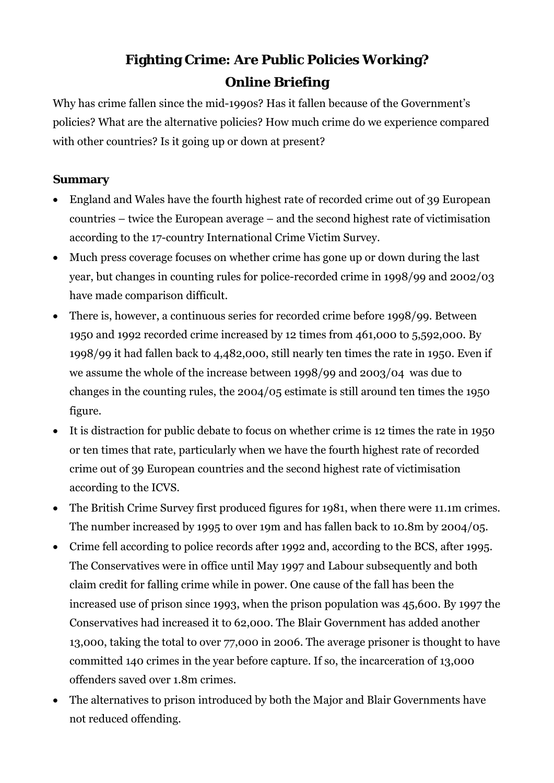# **Fighting Crime: Are Public Policies Working? Online Briefing**

Why has crime fallen since the mid-1990s? Has it fallen because of the Government's policies? What are the alternative policies? How much crime do we experience compared with other countries? Is it going up or down at present?

# **Summary**

- England and Wales have the fourth highest rate of recorded crime out of 39 European countries – twice the European average – and the second highest rate of victimisation according to the 17-country International Crime Victim Survey.
- Much press coverage focuses on whether crime has gone up or down during the last year, but changes in counting rules for police-recorded crime in 1998/99 and 2002/03 have made comparison difficult.
- There is, however, a continuous series for recorded crime before 1998/99. Between 1950 and 1992 recorded crime increased by 12 times from 461,000 to 5,592,000. By 1998/99 it had fallen back to 4,482,000, still nearly ten times the rate in 1950. Even if we assume the whole of the increase between 1998/99 and 2003/04 was due to changes in the counting rules, the 2004/05 estimate is still around ten times the 1950 figure.
- It is distraction for public debate to focus on whether crime is 12 times the rate in 1950 or ten times that rate, particularly when we have the fourth highest rate of recorded crime out of 39 European countries and the second highest rate of victimisation according to the ICVS.
- The British Crime Survey first produced figures for 1981, when there were 11.1m crimes. The number increased by 1995 to over 19m and has fallen back to 10.8m by 2004/05.
- Crime fell according to police records after 1992 and, according to the BCS, after 1995. The Conservatives were in office until May 1997 and Labour subsequently and both claim credit for falling crime while in power. One cause of the fall has been the increased use of prison since 1993, when the prison population was 45,600. By 1997 the Conservatives had increased it to 62,000. The Blair Government has added another 13,000, taking the total to over 77,000 in 2006. The average prisoner is thought to have committed 140 crimes in the year before capture. If so, the incarceration of 13,000 offenders saved over 1.8m crimes.
- The alternatives to prison introduced by both the Major and Blair Governments have not reduced offending.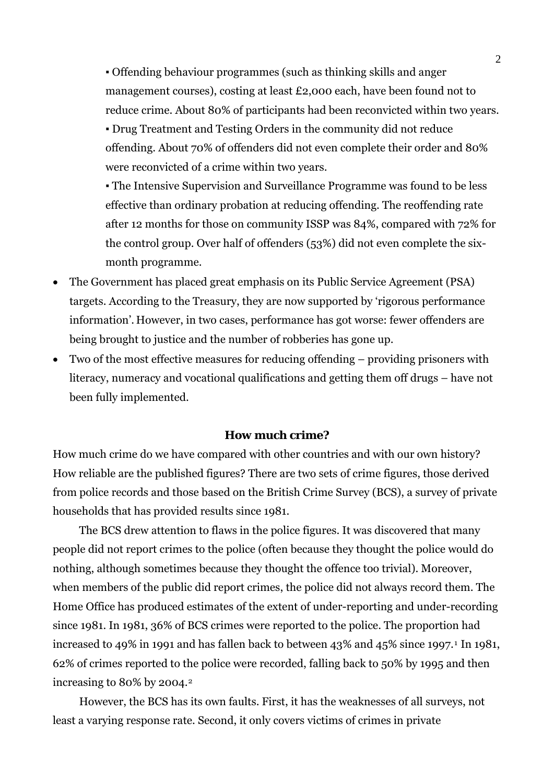▪ Offending behaviour programmes (such as thinking skills and anger management courses), costing at least £2,000 each, have been found not to reduce crime. About 80% of participants had been reconvicted within two years.

▪ Drug Treatment and Testing Orders in the community did not reduce offending. About 70% of offenders did not even complete their order and 80% were reconvicted of a crime within two years.

▪ The Intensive Supervision and Surveillance Programme was found to be less effective than ordinary probation at reducing offending. The reoffending rate after 12 months for those on community ISSP was 84%, compared with 72% for the control group. Over half of offenders (53%) did not even complete the sixmonth programme.

- The Government has placed great emphasis on its Public Service Agreement (PSA) targets. According to the Treasury, they are now supported by 'rigorous performance information'. However, in two cases, performance has got worse: fewer offenders are being brought to justice and the number of robberies has gone up.
- Two of the most effective measures for reducing offending providing prisoners with literacy, numeracy and vocational qualifications and getting them off drugs – have not been fully implemented.

## **How much crime?**

How much crime do we have compared with other countries and with our own history? How reliable are the published figures? There are two sets of crime figures, those derived from police records and those based on the British Crime Survey (BCS), a survey of private households that has provided results since 1981.

 The BCS drew attention to flaws in the police figures. It was discovered that many people did not report crimes to the police (often because they thought the police would do nothing, although sometimes because they thought the offence too trivial). Moreover, when members of the public did report crimes, the police did not always record them. The Home Office has produced estimates of the extent of under-reporting and under-recording since 1981. In 1981, 36% of BCS crimes were reported to the police. The proportion had increased to 49% in [1](#page-11-0)991 and has fallen back to between 43% and 45% since 1997.<sup>1</sup> In 1981, 62% of crimes reported to the police were recorded, falling back to 50% by 1995 and then increasing to 80% by 2004.[2](#page-11-1)

 However, the BCS has its own faults. First, it has the weaknesses of all surveys, not least a varying response rate. Second, it only covers victims of crimes in private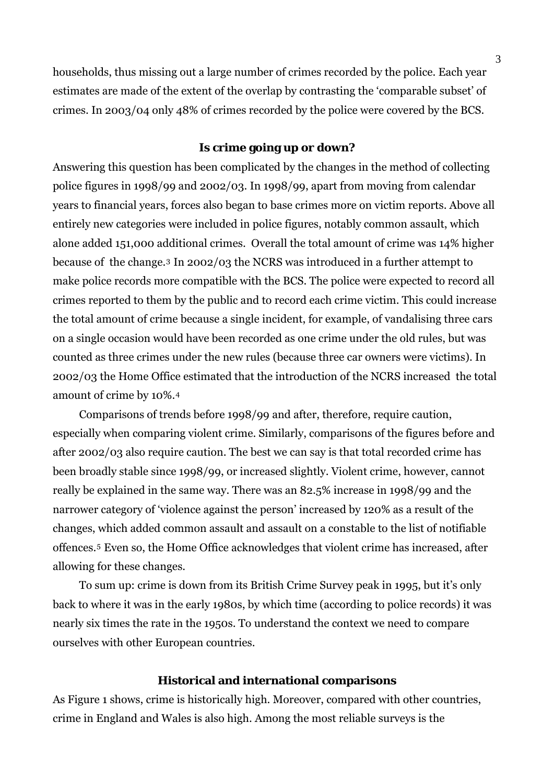households, thus missing out a large number of crimes recorded by the police. Each year estimates are made of the extent of the overlap by contrasting the 'comparable subset' of crimes. In 2003/04 only 48% of crimes recorded by the police were covered by the BCS.

## **Is crime going up or down?**

Answering this question has been complicated by the changes in the method of collecting police figures in 1998/99 and 2002/03. In 1998/99, apart from moving from calendar years to financial years, forces also began to base crimes more on victim reports. Above all entirely new categories were included in police figures, notably common assault, which alone added 151,000 additional crimes. Overall the total amount of crime was 14% higher because of the change.[3](#page-11-1) In 2002/03 the NCRS was introduced in a further attempt to make police records more compatible with the BCS. The police were expected to record all crimes reported to them by the public and to record each crime victim. This could increase the total amount of crime because a single incident, for example, of vandalising three cars on a single occasion would have been recorded as one crime under the old rules, but was counted as three crimes under the new rules (because three car owners were victims). In 2002/03 the Home Office estimated that the introduction of the NCRS increased the total amount of crime by 10%.[4](#page-11-1)

 Comparisons of trends before 1998/99 and after, therefore, require caution, especially when comparing violent crime. Similarly, comparisons of the figures before and after 2002/03 also require caution. The best we can say is that total recorded crime has been broadly stable since 1998/99, or increased slightly. Violent crime, however, cannot really be explained in the same way. There was an 82.5% increase in 1998/99 and the narrower category of 'violence against the person' increased by 120% as a result of the changes, which added common assault and assault on a constable to the list of notifiable offences.[5](#page-11-1) Even so, the Home Office acknowledges that violent crime has increased, after allowing for these changes.

 To sum up: crime is down from its British Crime Survey peak in 1995, but it's only back to where it was in the early 1980s, by which time (according to police records) it was nearly six times the rate in the 1950s. To understand the context we need to compare ourselves with other European countries.

#### **Historical and international comparisons**

As Figure 1 shows, crime is historically high. Moreover, compared with other countries, crime in England and Wales is also high. Among the most reliable surveys is the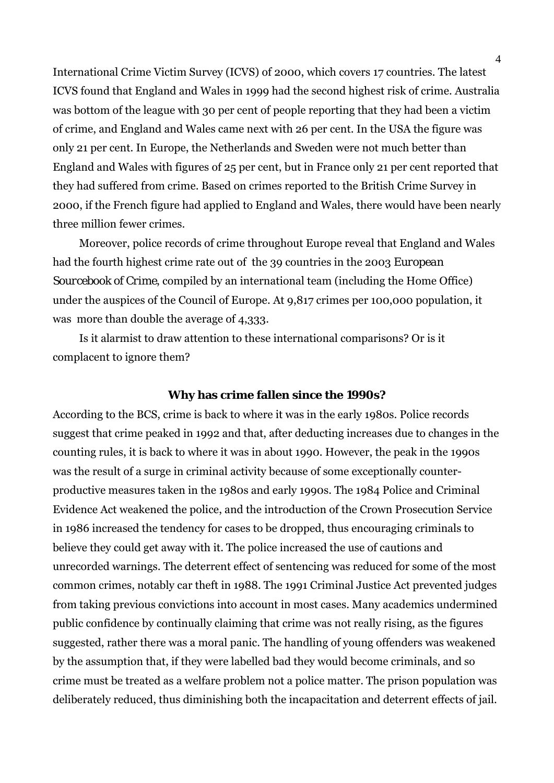International Crime Victim Survey (ICVS) of 2000, which covers 17 countries. The latest ICVS found that England and Wales in 1999 had the second highest risk of crime. Australia was bottom of the league with 30 per cent of people reporting that they had been a victim of crime, and England and Wales came next with 26 per cent. In the USA the figure was only 21 per cent. In Europe, the Netherlands and Sweden were not much better than England and Wales with figures of 25 per cent, but in France only 21 per cent reported that they had suffered from crime. Based on crimes reported to the British Crime Survey in 2000, if the French figure had applied to England and Wales, there would have been nearly three million fewer crimes.

 Moreover, police records of crime throughout Europe reveal that England and Wales had the fourth highest crime rate out of the 39 countries in the 2003 *European Sourcebook of Crime*, compiled by an international team (including the Home Office) under the auspices of the Council of Europe. At 9,817 crimes per 100,000 population, it was more than double the average of 4,333.

 Is it alarmist to draw attention to these international comparisons? Or is it complacent to ignore them?

#### **Why has crime fallen since the 1990s?**

According to the BCS, crime is back to where it was in the early 1980s. Police records suggest that crime peaked in 1992 and that, after deducting increases due to changes in the counting rules, it is back to where it was in about 1990. However, the peak in the 1990s was the result of a surge in criminal activity because of some exceptionally counterproductive measures taken in the 1980s and early 1990s. The 1984 Police and Criminal Evidence Act weakened the police, and the introduction of the Crown Prosecution Service in 1986 increased the tendency for cases to be dropped, thus encouraging criminals to believe they could get away with it. The police increased the use of cautions and unrecorded warnings. The deterrent effect of sentencing was reduced for some of the most common crimes, notably car theft in 1988. The 1991 Criminal Justice Act prevented judges from taking previous convictions into account in most cases. Many academics undermined public confidence by continually claiming that crime was not really rising, as the figures suggested, rather there was a moral panic. The handling of young offenders was weakened by the assumption that, if they were labelled bad they would become criminals, and so crime must be treated as a welfare problem not a police matter. The prison population was deliberately reduced, thus diminishing both the incapacitation and deterrent effects of jail.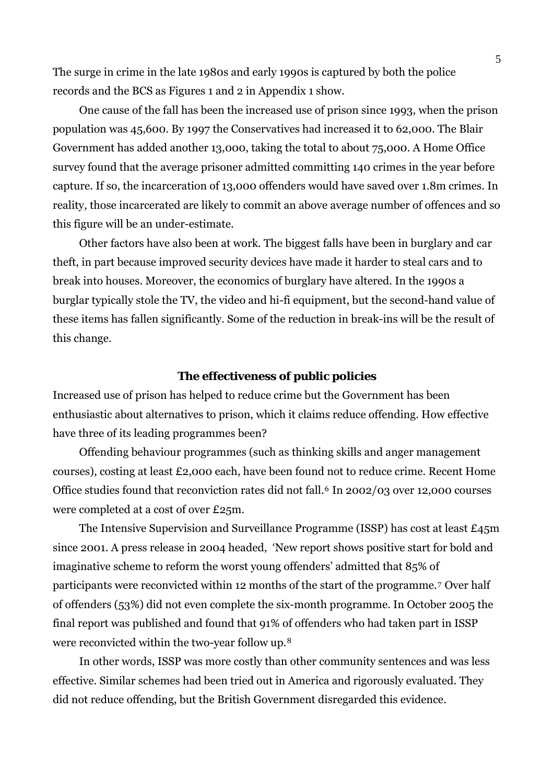The surge in crime in the late 1980s and early 1990s is captured by both the police records and the BCS as Figures 1 and 2 in Appendix 1 show.

 One cause of the fall has been the increased use of prison since 1993, when the prison population was 45,600. By 1997 the Conservatives had increased it to 62,000. The Blair Government has added another 13,000, taking the total to about 75,000. A Home Office survey found that the average prisoner admitted committing 140 crimes in the year before capture. If so, the incarceration of 13,000 offenders would have saved over 1.8m crimes. In reality, those incarcerated are likely to commit an above average number of offences and so this figure will be an under-estimate.

 Other factors have also been at work. The biggest falls have been in burglary and car theft, in part because improved security devices have made it harder to steal cars and to break into houses. Moreover, the economics of burglary have altered. In the 1990s a burglar typically stole the TV, the video and hi-fi equipment, but the second-hand value of these items has fallen significantly. Some of the reduction in break-ins will be the result of this change.

#### **The effectiveness of public policies**

Increased use of prison has helped to reduce crime but the Government has been enthusiastic about alternatives to prison, which it claims reduce offending. How effective have three of its leading programmes been?

 Offending behaviour programmes (such as thinking skills and anger management courses), costing at least £2,000 each, have been found not to reduce crime. Recent Home Office studies found that reconviction rates did not fall.<sup>[6](#page-11-1)</sup> In 2002/03 over 12,000 courses were completed at a cost of over £25m.

 The Intensive Supervision and Surveillance Programme (ISSP) has cost at least £45m since 2001. A press release in 2004 headed, 'New report shows positive start for bold and imaginative scheme to reform the worst young offenders' admitted that 85% of participants were reconvicted within 12 months of the start of the programme.[7](#page-11-1) Over half of offenders (53%) did not even complete the six-month programme. In October 2005 the final report was published and found that 91% of offenders who had taken part in ISSP were reconvicted within the two-year follow up.[8](#page-11-1)

 In other words, ISSP was more costly than other community sentences and was less effective. Similar schemes had been tried out in America and rigorously evaluated. They did not reduce offending, but the British Government disregarded this evidence.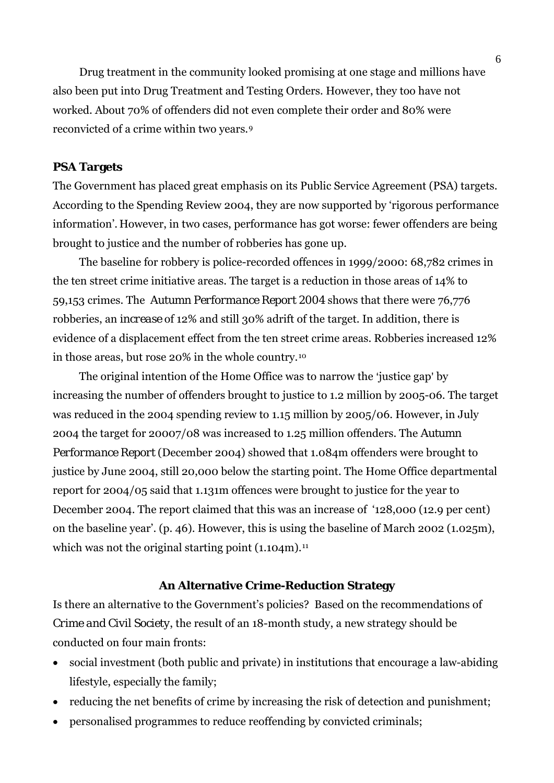Drug treatment in the community looked promising at one stage and millions have also been put into Drug Treatment and Testing Orders. However, they too have not worked. About 70% of offenders did not even complete their order and 80% were reconvicted of a crime within two years.[9](#page-11-1)

## **PSA Targets**

The Government has placed great emphasis on its Public Service Agreement (PSA) targets. According to the Spending Review 2004, they are now supported by 'rigorous performance information'. However, in two cases, performance has got worse: fewer offenders are being brought to justice and the number of robberies has gone up.

 The baseline for robbery is police-recorded offences in 1999/2000: 68,782 crimes in the ten street crime initiative areas. The target is a reduction in those areas of 14% to 59,153 crimes. The *Autumn Performance Report 2004* shows that there were 76,776 robberies, an *increase* of 12% and still 30% adrift of the target. In addition, there is evidence of a displacement effect from the ten street crime areas. Robberies increased 12% in those areas, but rose 20% in the whole country.[10](#page-11-1)

The original intention of the Home Office was to narrow the 'justice gap' by increasing the number of offenders brought to justice to 1.2 million by 2005-06. The target was reduced in the 2004 spending review to 1.15 million by 2005/06. However, in July 2004 the target for 20007/08 was increased to 1.25 million offenders. The *Autumn Performance Report* (December 2004) showed that 1.084m offenders were brought to justice by June 2004, still 20,000 below the starting point. The Home Office departmental report for 2004/05 said that 1.131m offences were brought to justice for the year to December 2004. The report claimed that this was an increase of '128,000 (12.9 per cent) on the baseline year'. (p. 46). However, this is using the baseline of March 2002 (1.025m), which was not the original starting point  $(1.104m)$ .<sup>[11](#page-11-1)</sup>

## **An Alternative Crime-Reduction Strategy**

Is there an alternative to the Government's policies? Based on the recommendations of *Crime and Civil Society*, the result of an 18-month study, a new strategy should be conducted on four main fronts:

- social investment (both public and private) in institutions that encourage a law-abiding lifestyle, especially the family;
- reducing the net benefits of crime by increasing the risk of detection and punishment;
- personalised programmes to reduce reoffending by convicted criminals;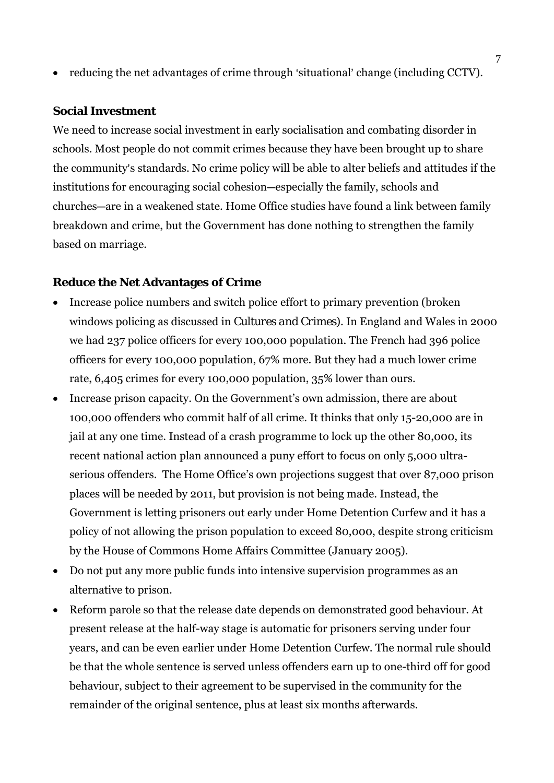• reducing the net advantages of crime through 'situational' change (including CCTV).

### **Social Investment**

We need to increase social investment in early socialisation and combating disorder in schools. Most people do not commit crimes because they have been brought up to share the community's standards. No crime policy will be able to alter beliefs and attitudes if the institutions for encouraging social cohesion—especially the family, schools and churches—are in a weakened state. Home Office studies have found a link between family breakdown and crime, but the Government has done nothing to strengthen the family based on marriage.

## **Reduce the Net Advantages of Crime**

- Increase police numbers and switch police effort to primary prevention (broken windows policing as discussed in *Cultures and Crimes*). In England and Wales in 2000 we had 237 police officers for every 100,000 population. The French had 396 police officers for every 100,000 population, 67% more. But they had a much lower crime rate, 6,405 crimes for every 100,000 population, 35% lower than ours.
- Increase prison capacity. On the Government's own admission, there are about 100,000 offenders who commit half of all crime. It thinks that only 15-20,000 are in jail at any one time. Instead of a crash programme to lock up the other 80,000, its recent national action plan announced a puny effort to focus on only 5,000 ultraserious offenders. The Home Office's own projections suggest that over 87,000 prison places will be needed by 2011, but provision is not being made. Instead, the Government is letting prisoners out early under Home Detention Curfew and it has a policy of not allowing the prison population to exceed 80,000, despite strong criticism by the House of Commons Home Affairs Committee (January 2005).
- Do not put any more public funds into intensive supervision programmes as an alternative to prison.
- Reform parole so that the release date depends on demonstrated good behaviour. At present release at the half-way stage is automatic for prisoners serving under four years, and can be even earlier under Home Detention Curfew. The normal rule should be that the whole sentence is served unless offenders earn up to one-third off for good behaviour, subject to their agreement to be supervised in the community for the remainder of the original sentence, plus at least six months afterwards.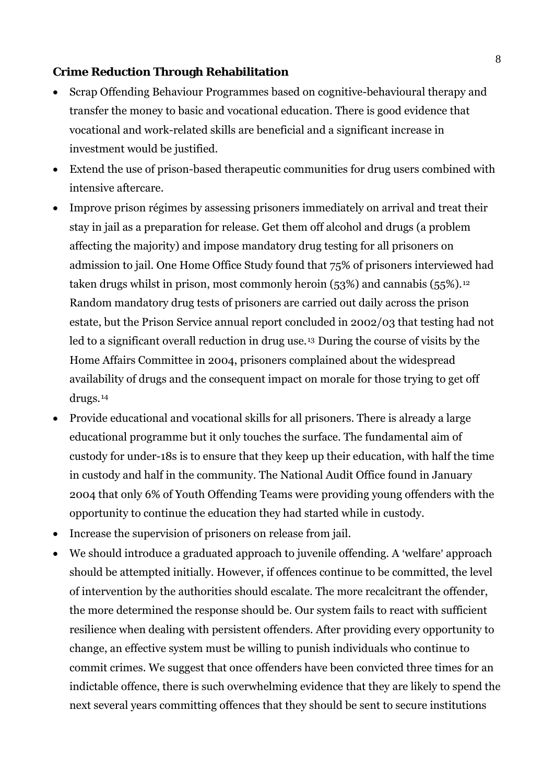## **Crime Reduction Through Rehabilitation**

- Scrap Offending Behaviour Programmes based on cognitive-behavioural therapy and transfer the money to basic and vocational education. There is good evidence that vocational and work-related skills are beneficial and a significant increase in investment would be justified.
- Extend the use of prison-based therapeutic communities for drug users combined with intensive aftercare.
- Improve prison régimes by assessing prisoners immediately on arrival and treat their stay in jail as a preparation for release. Get them off alcohol and drugs (a problem affecting the majority) and impose mandatory drug testing for all prisoners on admission to jail. One Home Office Study found that 75% of prisoners interviewed had taken drugs whilst in prison, most commonly heroin (53%) and cannabis (55%).<sup>[12](#page-11-1)</sup> Random mandatory drug tests of prisoners are carried out daily across the prison estate, but the Prison Service annual report concluded in 2002/03 that testing had not led to a significant overall reduction in drug use.[13](#page-11-1) During the course of visits by the Home Affairs Committee in 2004, prisoners complained about the widespread availability of drugs and the consequent impact on morale for those trying to get off drugs.[14](#page-11-1)
- Provide educational and vocational skills for all prisoners. There is already a large educational programme but it only touches the surface. The fundamental aim of custody for under-18s is to ensure that they keep up their education, with half the time in custody and half in the community. The National Audit Office found in January 2004 that only 6% of Youth Offending Teams were providing young offenders with the opportunity to continue the education they had started while in custody.
- Increase the supervision of prisoners on release from jail.
- We should introduce a graduated approach to juvenile offending. A 'welfare' approach should be attempted initially. However, if offences continue to be committed, the level of intervention by the authorities should escalate. The more recalcitrant the offender, the more determined the response should be. Our system fails to react with sufficient resilience when dealing with persistent offenders. After providing every opportunity to change, an effective system must be willing to punish individuals who continue to commit crimes. We suggest that once offenders have been convicted three times for an indictable offence, there is such overwhelming evidence that they are likely to spend the next several years committing offences that they should be sent to secure institutions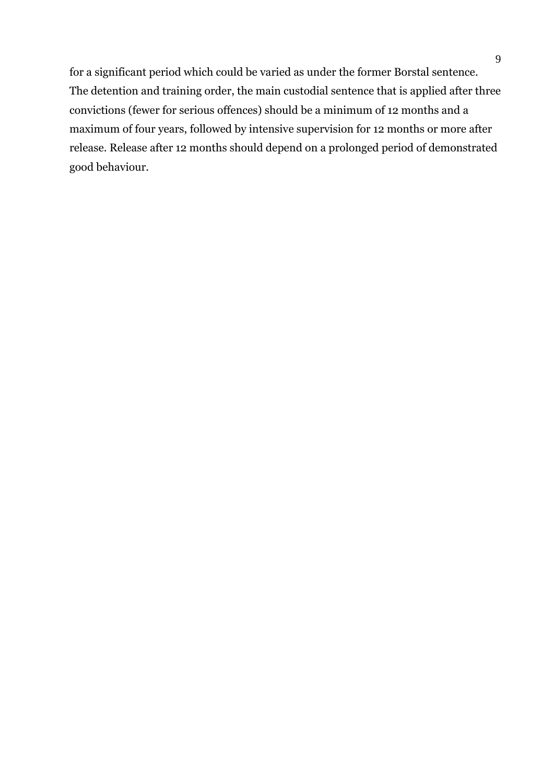for a significant period which could be varied as under the former Borstal sentence. The detention and training order, the main custodial sentence that is applied after three convictions (fewer for serious offences) should be a minimum of 12 months and a maximum of four years, followed by intensive supervision for 12 months or more after release. Release after 12 months should depend on a prolonged period of demonstrated good behaviour.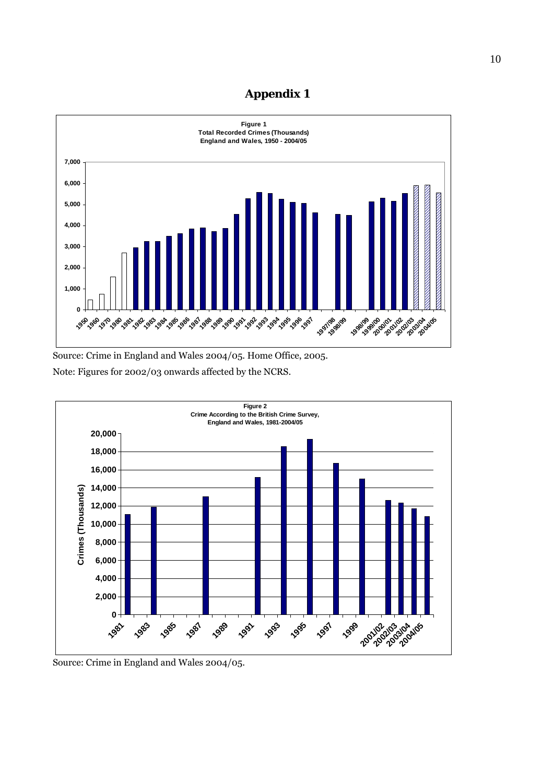## **Appendix 1**



Source: Crime in England and Wales 2004/05. Home Office, 2005. Note: Figures for 2002/03 onwards affected by the NCRS.



Source: Crime in England and Wales 2004/05.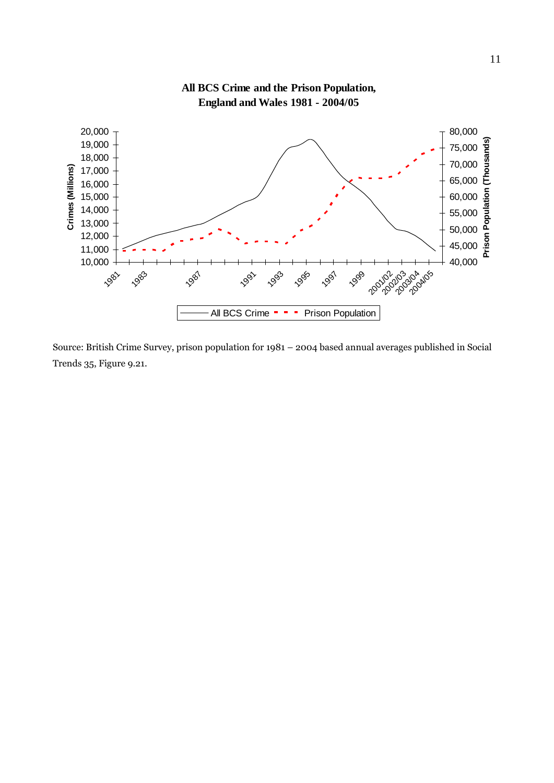

**All BCS Crime and the Prison Population,**

Source: British Crime Survey, prison population for 1981 – 2004 based annual averages published in Social Trends 35, Figure 9.21.